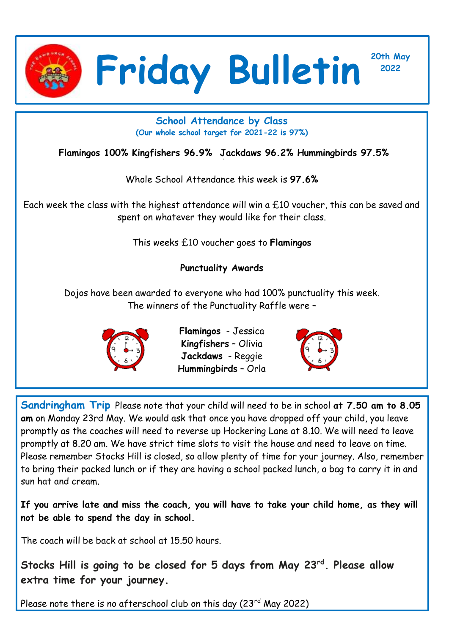

**<sup>2022</sup> Friday Bulletin**

**20th May**

## **School Attendance by Class (Our whole school target for 2021-22 is 97%)**

**Flamingos 100% Kingfishers 96.9% Jackdaws 96.2% Hummingbirds 97.5%**

Whole School Attendance this week is **97.6%**

Each week the class with the highest attendance will win a £10 voucher, this can be saved and spent on whatever they would like for their class.

This weeks £10 voucher goes to **Flamingos** 

## **Punctuality Awards**

Dojos have been awarded to everyone who had 100% punctuality this week. The winners of the Punctuality Raffle were –



**Flamingos** - Jessica **Kingfishers** – Olivia **Jackdaws** - Reggie **Hummingbirds** – Orla



**Sandringham Trip** Please note that your child will need to be in school **at 7.50 am to 8.05 am** on Monday 23rd May. We would ask that once you have dropped off your child, you leave promptly as the coaches will need to reverse up Hockering Lane at 8.10. We will need to leave promptly at 8.20 am. We have strict time slots to visit the house and need to leave on time. Please remember Stocks Hill is closed, so allow plenty of time for your journey. Also, remember to bring their packed lunch or if they are having a school packed lunch, a bag to carry it in and sun hat and cream.

**If you arrive late and miss the coach, you will have to take your child home, as they will not be able to spend the day in school.** 

The coach will be back at school at 15.50 hours.

**Stocks Hill is going to be closed for 5 days from May 23rd. Please allow extra time for your journey.** 

Please note there is no afterschool club on this day  $(23^{rd}$  May 2022)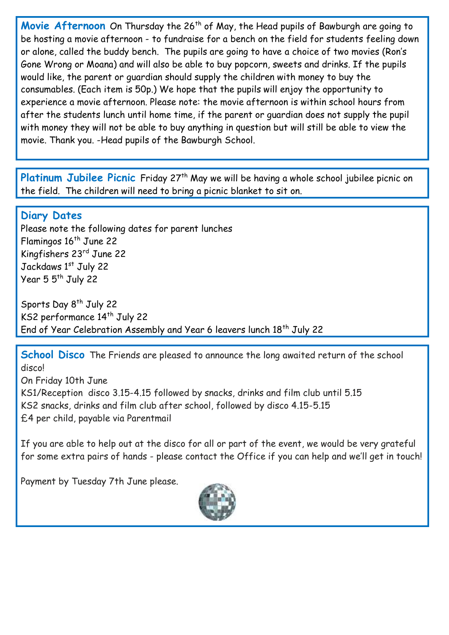Movie Afternoon On Thursday the 26<sup>th</sup> of May, the Head pupils of Bawburgh are going to be hosting a movie afternoon - to fundraise for a bench on the field for students feeling down or alone, called the buddy bench. The pupils are going to have a choice of two movies (Ron's Gone Wrong or Moana) and will also be able to buy popcorn, sweets and drinks. If the pupils would like, the parent or guardian should supply the children with money to buy the consumables. (Each item is 50p.) We hope that the pupils will enjoy the opportunity to experience a movie afternoon. Please note: the movie afternoon is within school hours from after the students lunch until home time, if the parent or guardian does not supply the pupil with money they will not be able to buy anything in question but will still be able to view the movie. Thank you. -Head pupils of the Bawburgh School.

Platinum Jubilee Picnic Friday 27<sup>th</sup> May we will be having a whole school jubilee picnic on the field. The children will need to bring a picnic blanket to sit on.

## **Diary Dates**

Please note the following dates for parent lunches Flamingos 16<sup>th</sup> June 22 Kingfishers 23rd June 22 Jackdaws 1st July 22 Year 5 5<sup>th</sup> July 22

Sports Day 8<sup>th</sup> July 22 KS2 performance 14<sup>th</sup> July 22 End of Year Celebration Assembly and Year 6 leavers lunch 18<sup>th</sup> July 22

**School Disco** The Friends are pleased to announce the long awaited return of the school disco! On Friday 10th June KS1/Reception disco 3.15-4.15 followed by snacks, drinks and film club until 5.15 KS2 snacks, drinks and film club after school, followed by disco 4.15-5.15 £4 per child, payable via Parentmail

If you are able to help out at the disco for all or part of the event, we would be very grateful for some extra pairs of hands - please contact the Office if you can help and we'll get in touch!

Payment by Tuesday 7th June please.

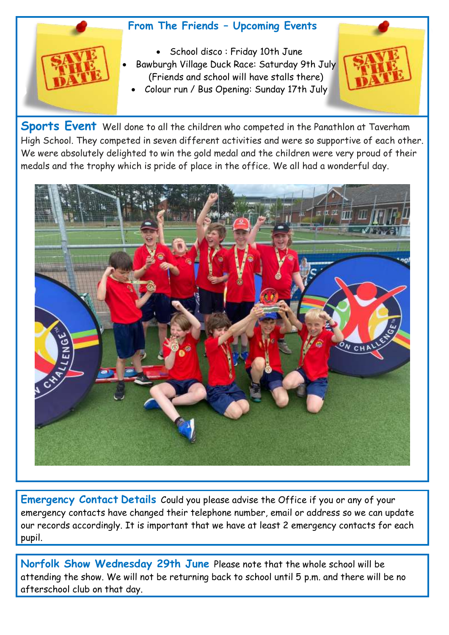## **From The Friends – Upcoming Events**



- School disco : Friday 10th June Bawburgh Village Duck Race: Saturday 9th July (Friends and school will have stalls there)
- Colour run / Bus Opening: Sunday 17th July



**Sports Event** Well done to all the children who competed in the Panathlon at Taverham High School. They competed in seven different activities and were so supportive of each other. We were absolutely delighted to win the gold medal and the children were very proud of their medals and the trophy which is pride of place in the office. We all had a wonderful day.



**Emergency Contact Details** Could you please advise the Office if you or any of your emergency contacts have changed their telephone number, email or address so we can update our records accordingly. It is important that we have at least 2 emergency contacts for each pupil.

**Norfolk Show Wednesday 29th June** Please note that the whole school will be attending the show. We will not be returning back to school until 5 p.m. and there will be no afterschool club on that day.